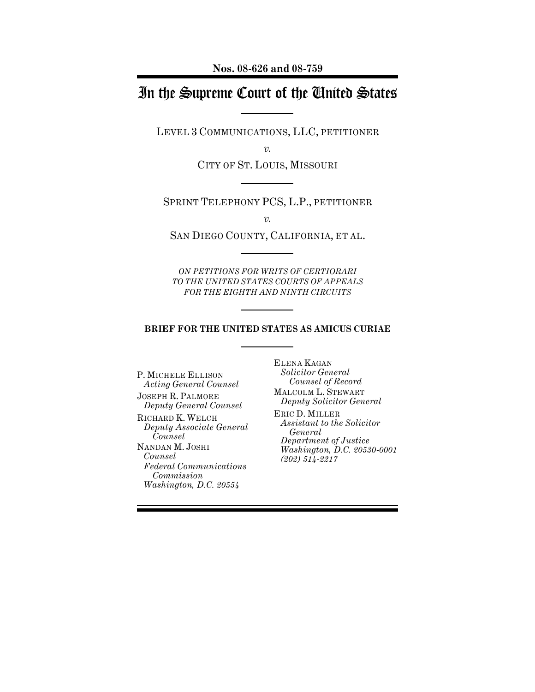**Nos. 08-626 and 08-759**

# In the Supreme Court of the United States

LEVEL 3 COMMUNICATIONS, LLC, PETITIONER

*v.*

CITY OF ST. LOUIS, MISSOURI

SPRINT TELEPHONY PCS, L.P., PETITIONER

*v.*

SAN DIEGO COUNTY, CALIFORNIA, ET AL.

*ON PETITIONS FOR WRITS OF CERTIORARI TO THE UNITED STATES COURTS OF APPEALS FOR THE EIGHTH AND NINTH CIRCUITS*

**BRIEF FOR THE UNITED STATES AS AMICUS CURIAE**

P. MICHELE ELLISON *Acting General Counsel*

JOSEPH R. PALMORE *Deputy General Counsel*

RICHARD K. WELCH *Deputy Associate General Counsel*

NANDAN M. JOSHI *Counsel Federal Communications Commission Washington, D.C. 20554*

ELENA KAGAN *Solicitor General Counsel of Record*

MALCOLM L. STEWART *Deputy Solicitor General*

ERIC D. MILLER *Assistant to the Solicitor General Department of Justice Washington, D.C. 20530-0001 (202) 514-2217*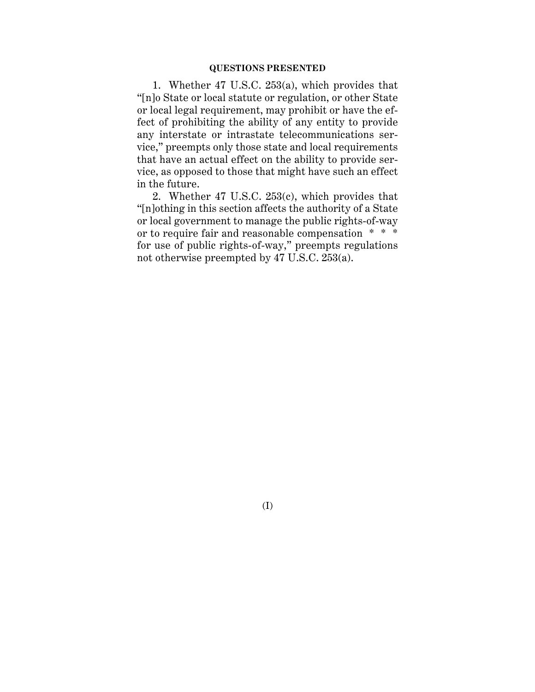#### **QUESTIONS PRESENTED**

1. Whether 47 U.S.C. 253(a), which provides that "[n]o State or local statute or regulation, or other State or local legal requirement, may prohibit or have the effect of prohibiting the ability of any entity to provide any interstate or intrastate telecommunications service," preempts only those state and local requirements that have an actual effect on the ability to provide service, as opposed to those that might have such an effect in the future.

2. Whether 47 U.S.C. 253(c), which provides that "[n]othing in this section affects the authority of a State or local government to manage the public rights-of-way or to require fair and reasonable compensation \* \* \* for use of public rights-of-way," preempts regulations not otherwise preempted by 47 U.S.C. 253(a).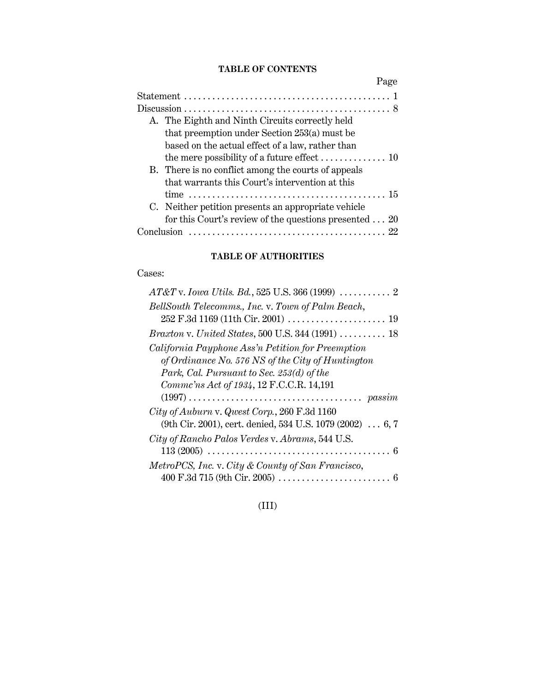### **TABLE OF CONTENTS**

|            | Page                                                                   |
|------------|------------------------------------------------------------------------|
|            |                                                                        |
|            |                                                                        |
|            | A. The Eighth and Ninth Circuits correctly held                        |
|            | that preemption under Section 253(a) must be                           |
|            | based on the actual effect of a law, rather than                       |
|            | the mere possibility of a future effect $\dots\dots\dots\dots\dots$ 10 |
|            | B. There is no conflict among the courts of appeals                    |
|            | that warrants this Court's intervention at this                        |
|            |                                                                        |
|            | C. Neither petition presents an appropriate vehicle                    |
|            | for this Court's review of the questions presented $\dots$ 20          |
| Conclusion |                                                                        |

## **TABLE OF AUTHORITIES**

#### Cases:

| $AT&T v. Iowa Utils. Bd., 525 U.S. 366 (1999) \ldots$     |
|-----------------------------------------------------------|
| BellSouth Telecomms., Inc. v. Town of Palm Beach,         |
|                                                           |
| <i>Braxton v. United States, 500 U.S. 344 (1991)  18</i>  |
| California Payphone Ass'n Petition for Preemption         |
| of Ordinance No. 576 $NS$ of the City of Huntington       |
| Park, Cal. Pursuant to Sec. 253(d) of the                 |
| Commc'ns Act of 1934, 12 F.C.C.R. 14,191                  |
|                                                           |
| City of Auburn v. Qwest Corp., 260 F.3d 1160              |
| (9th Cir. 2001), cert. denied, 534 U.S. 1079 (2002)  6, 7 |
| City of Rancho Palos Verdes v. Abrams, 544 U.S.           |
|                                                           |
| MetroPCS, Inc. v. City & County of San Francisco,         |
|                                                           |

# (III)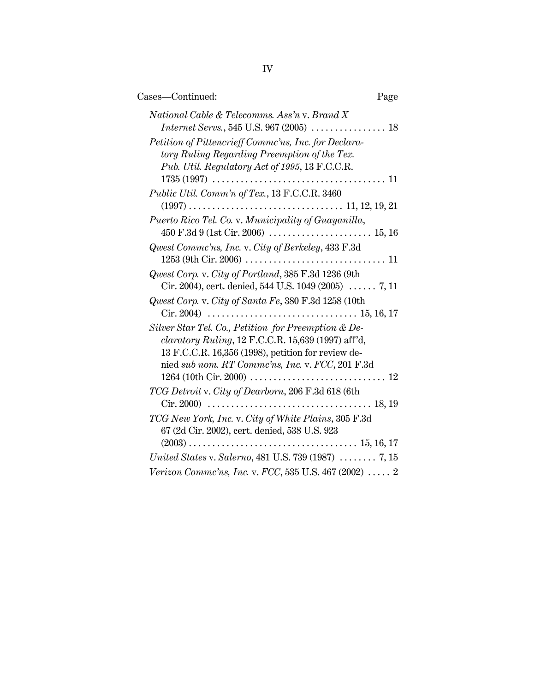| Cases—Continued:                                                                                                                                                                                             | Page |
|--------------------------------------------------------------------------------------------------------------------------------------------------------------------------------------------------------------|------|
| National Cable & Telecomms. Ass'n v. Brand X<br>Petition of Pittencrieff Commc'ns, Inc. for Declara-                                                                                                         |      |
| tory Ruling Regarding Preemption of the Tex.<br>Pub. Util. Regulatory Act of 1995, 13 F.C.C.R.<br>$1735(1997) \ldots \ldots \ldots \ldots \ldots \ldots \ldots \ldots \ldots \ldots \ldots \ldots \ldots 11$ |      |
| Public Util. Comm'n of Tex., 13 F.C.C.R. 3460                                                                                                                                                                |      |
| Puerto Rico Tel. Co. v. Municipality of Guayanilla,                                                                                                                                                          |      |
| Qwest Commc'ns, Inc. v. City of Berkeley, 433 F.3d                                                                                                                                                           |      |
| Qwest Corp. v. City of Portland, 385 F.3d 1236 (9th<br>Cir. 2004), cert. denied, 544 U.S. 1049 (2005) $\ldots$ 7, 11                                                                                         |      |
| Qwest Corp. v. City of Santa Fe, 380 F.3d 1258 (10th                                                                                                                                                         |      |
| Silver Star Tel. Co., Petition for Preemption & De-<br>$claratory Ruling$ , 12 F.C.C.R. 15,639 (1997) aff'd,<br>13 F.C.C.R. 16,356 (1998), petition for review de-                                           |      |
| nied sub nom. RT Commc'ns, Inc. v. FCC, 201 F.3d                                                                                                                                                             |      |
| TCG Detroit v. City of Dearborn, 206 F.3d 618 (6th                                                                                                                                                           |      |
| TCG New York, Inc. v. City of White Plains, 305 F.3d<br>67 (2d Cir. 2002), cert. denied, 538 U.S. 923                                                                                                        |      |
| United States v. Salerno, 481 U.S. 739 (1987) $\ldots \ldots$ 7, 15                                                                                                                                          |      |
| Verizon Commc'ns, Inc. v. FCC, 535 U.S. 467 (2002)  2                                                                                                                                                        |      |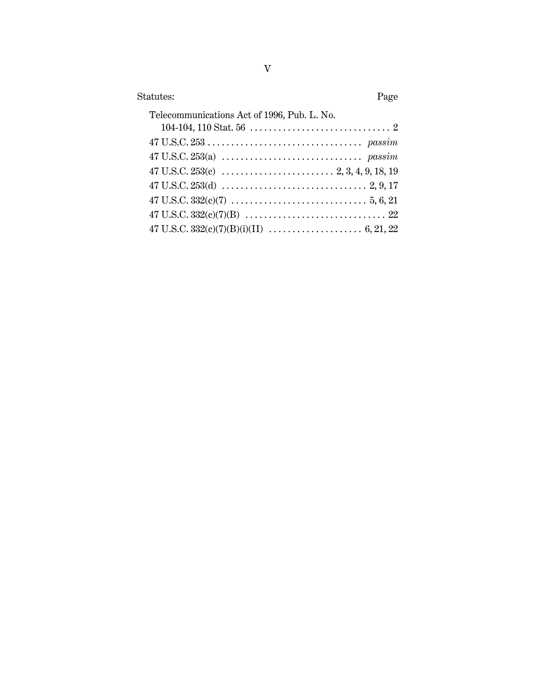| Statutes:<br>Page                                                                                                                      |  |
|----------------------------------------------------------------------------------------------------------------------------------------|--|
| Telecommunications Act of 1996, Pub. L. No.                                                                                            |  |
| $47 \text{ U.S.C. } 253 \ldots \ldots \ldots \ldots \ldots \ldots \ldots \ldots \ldots \text{passim}$                                  |  |
|                                                                                                                                        |  |
|                                                                                                                                        |  |
|                                                                                                                                        |  |
| $47 \text{ U.S.C. } 332 \text{ (c)} \text{ (7)} \ldots \ldots \ldots \ldots \ldots \ldots \ldots \ldots \ldots \ldots \ldots 5, 6, 21$ |  |
|                                                                                                                                        |  |
|                                                                                                                                        |  |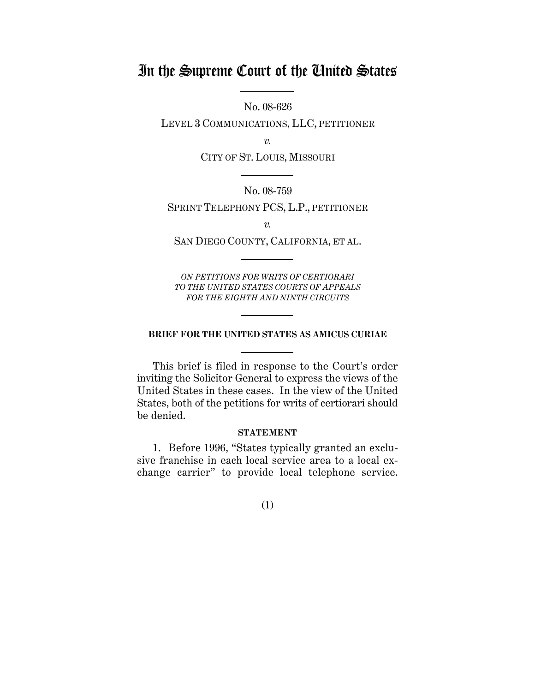# In the Supreme Court of the United States

No. 08-626

LEVEL 3 COMMUNICATIONS, LLC, PETITIONER

*v.*

CITY OF ST. LOUIS, MISSOURI

### No. 08-759

SPRINT TELEPHONY PCS, L.P., PETITIONER

*v.*

SAN DIEGO COUNTY, CALIFORNIA, ET AL.

*ON PETITIONS FOR WRITS OF CERTIORARI TO THE UNITED STATES COURTS OF APPEALS FOR THE EIGHTH AND NINTH CIRCUITS*

#### **BRIEF FOR THE UNITED STATES AS AMICUS CURIAE**

This brief is filed in response to the Court's order inviting the Solicitor General to express the views of the United States in these cases. In the view of the United States, both of the petitions for writs of certiorari should be denied.

#### **STATEMENT**

1. Before 1996, "States typically granted an exclusive franchise in each local service area to a local exchange carrier" to provide local telephone service.

## (1)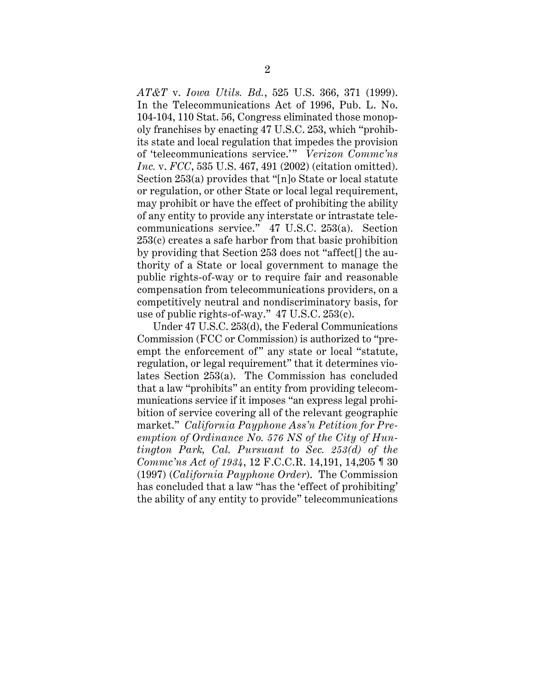*AT&T* v. *Iowa Utils. Bd.*, 525 U.S. 366, 371 (1999). In the Telecommunications Act of 1996, Pub. L. No. 104-104, 110 Stat. 56, Congress eliminated those monopoly franchises by enacting 47 U.S.C. 253, which "prohibits state and local regulation that impedes the provision of 'telecommunications service.'" *Verizon Commc'ns Inc.* v. *FCC*, 535 U.S. 467, 491 (2002) (citation omitted). Section 253(a) provides that "[n]o State or local statute or regulation, or other State or local legal requirement, may prohibit or have the effect of prohibiting the ability of any entity to provide any interstate or intrastate telecommunications service." 47 U.S.C. 253(a). Section 253(c) creates a safe harbor from that basic prohibition by providing that Section 253 does not "affect[] the authority of a State or local government to manage the public rights-of-way or to require fair and reasonable compensation from telecommunications providers, on a competitively neutral and nondiscriminatory basis, for use of public rights-of-way." 47 U.S.C. 253(c).

Under 47 U.S.C. 253(d), the Federal Communications Commission (FCC or Commission) is authorized to "preempt the enforcement of" any state or local "statute, regulation, or legal requirement" that it determines violates Section 253(a). The Commission has concluded that a law "prohibits" an entity from providing telecommunications service if it imposes "an express legal prohibition of service covering all of the relevant geographic market." *California Payphone Ass'n Petition for Preemption of Ordinance No. 576 NS of the City of Huntington Park, Cal. Pursuant to Sec. 253(d) of the Commc'ns Act of 1934*, 12 F.C.C.R. 14,191, 14,205 ¶ 30 (1997) (*California Payphone Order*). The Commission has concluded that a law "has the 'effect of prohibiting' the ability of any entity to provide" telecommunications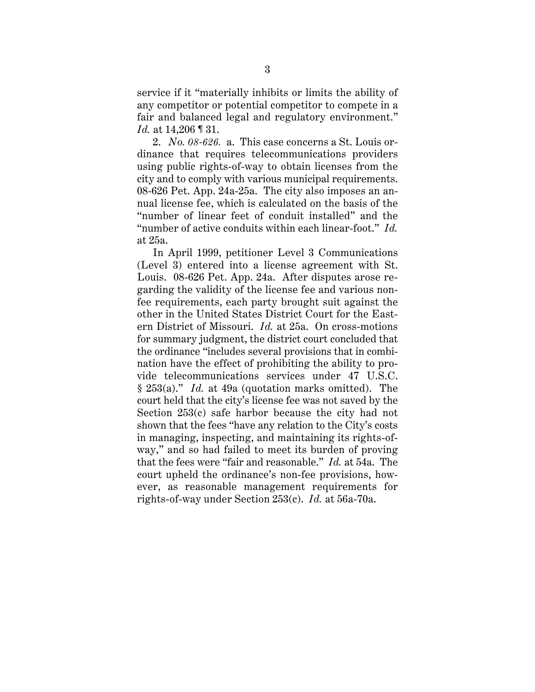service if it "materially inhibits or limits the ability of any competitor or potential competitor to compete in a fair and balanced legal and regulatory environment." *Id.* at 14,206 ¶ 31.

2. *No. 08-626.* a. This case concerns a St. Louis ordinance that requires telecommunications providers using public rights-of-way to obtain licenses from the city and to comply with various municipal requirements. 08-626 Pet. App. 24a-25a. The city also imposes an annual license fee, which is calculated on the basis of the "number of linear feet of conduit installed" and the "number of active conduits within each linear-foot." *Id.* at 25a.

In April 1999, petitioner Level 3 Communications (Level 3) entered into a license agreement with St. Louis. 08-626 Pet. App. 24a. After disputes arose regarding the validity of the license fee and various nonfee requirements, each party brought suit against the other in the United States District Court for the Eastern District of Missouri. *Id.* at 25a. On cross-motions for summary judgment, the district court concluded that the ordinance "includes several provisions that in combination have the effect of prohibiting the ability to provide telecommunications services under 47 U.S.C. § 253(a)." *Id.* at 49a (quotation marks omitted). The court held that the city's license fee was not saved by the Section 253(c) safe harbor because the city had not shown that the fees "have any relation to the City's costs in managing, inspecting, and maintaining its rights-ofway," and so had failed to meet its burden of proving that the fees were "fair and reasonable." *Id.* at 54a. The court upheld the ordinance's non-fee provisions, however, as reasonable management requirements for rights-of-way under Section 253(c). *Id.* at 56a-70a.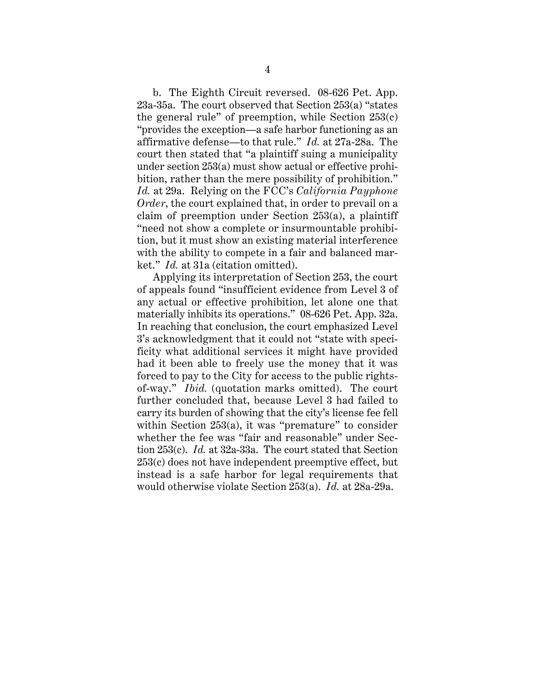b. The Eighth Circuit reversed. 08-626 Pet. App. 23a-35a. The court observed that Section 253(a) "states the general rule" of preemption, while Section  $253(c)$ "provides the exception—a safe harbor functioning as an affirmative defense—to that rule." *Id.* at 27a-28a. The court then stated that "a plaintiff suing a municipality under section 253(a) must show actual or effective prohibition, rather than the mere possibility of prohibition." *Id.* at 29a. Relying on the FCC's *California Payphone Order*, the court explained that, in order to prevail on a claim of preemption under Section 253(a), a plaintiff "need not show a complete or insurmountable prohibition, but it must show an existing material interference with the ability to compete in a fair and balanced market." *Id.* at 31a (citation omitted).

Applying its interpretation of Section 253, the court of appeals found "insufficient evidence from Level 3 of any actual or effective prohibition, let alone one that materially inhibits its operations." 08-626 Pet. App. 32a. In reaching that conclusion, the court emphasized Level 3's acknowledgment that it could not "state with specificity what additional services it might have provided had it been able to freely use the money that it was forced to pay to the City for access to the public rightsof-way." *Ibid.* (quotation marks omitted). The court further concluded that, because Level 3 had failed to carry its burden of showing that the city's license fee fell within Section 253(a), it was "premature" to consider whether the fee was "fair and reasonable" under Section 253(c). *Id.* at 32a-33a. The court stated that Section 253(c) does not have independent preemptive effect, but instead is a safe harbor for legal requirements that would otherwise violate Section 253(a). *Id.* at 28a-29a.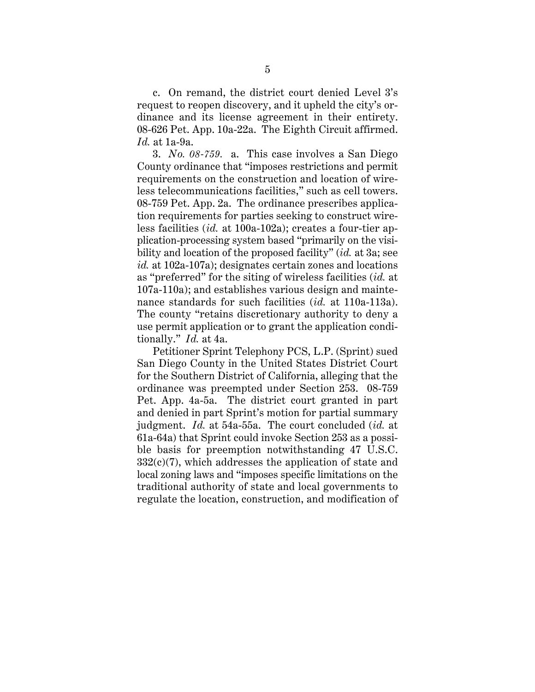c. On remand, the district court denied Level 3's request to reopen discovery, and it upheld the city's ordinance and its license agreement in their entirety. 08-626 Pet. App. 10a-22a. The Eighth Circuit affirmed. *Id.* at 1a-9a.

3. *No. 08-759.* a. This case involves a San Diego County ordinance that "imposes restrictions and permit requirements on the construction and location of wireless telecommunications facilities," such as cell towers. 08-759 Pet. App. 2a. The ordinance prescribes application requirements for parties seeking to construct wireless facilities (*id.* at 100a-102a); creates a four-tier application-processing system based "primarily on the visibility and location of the proposed facility" (*id.* at 3a; see *id.* at 102a-107a); designates certain zones and locations as "preferred" for the siting of wireless facilities (*id.* at 107a-110a); and establishes various design and maintenance standards for such facilities (*id.* at 110a-113a). The county "retains discretionary authority to deny a use permit application or to grant the application conditionally." *Id.* at 4a.

Petitioner Sprint Telephony PCS, L.P. (Sprint) sued San Diego County in the United States District Court for the Southern District of California, alleging that the ordinance was preempted under Section 253. 08-759 Pet. App. 4a-5a. The district court granted in part and denied in part Sprint's motion for partial summary judgment. *Id.* at 54a-55a. The court concluded (*id.* at 61a-64a) that Sprint could invoke Section 253 as a possible basis for preemption notwithstanding 47 U.S.C.  $332(c)(7)$ , which addresses the application of state and local zoning laws and "imposes specific limitations on the traditional authority of state and local governments to regulate the location, construction, and modification of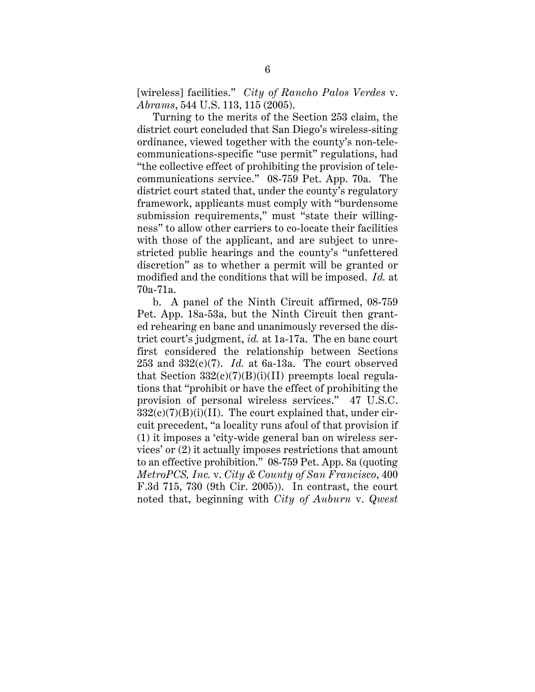[wireless] facilities." *City of Rancho Palos Verdes* v. *Abrams*, 544 U.S. 113, 115 (2005).

Turning to the merits of the Section 253 claim, the district court concluded that San Diego's wireless-siting ordinance, viewed together with the county's non-telecommunications-specific "use permit" regulations, had "the collective effect of prohibiting the provision of telecommunications service." 08-759 Pet. App. 70a. The district court stated that, under the county's regulatory framework, applicants must comply with "burdensome submission requirements," must "state their willingness" to allow other carriers to co-locate their facilities with those of the applicant, and are subject to unrestricted public hearings and the county's "unfettered discretion" as to whether a permit will be granted or modified and the conditions that will be imposed. *Id.* at 70a-71a.

b. A panel of the Ninth Circuit affirmed, 08-759 Pet. App. 18a-53a, but the Ninth Circuit then granted rehearing en banc and unanimously reversed the district court's judgment, *id.* at 1a-17a. The en banc court first considered the relationship between Sections 253 and 332(c)(7). *Id.* at 6a-13a. The court observed that Section  $332(c)(7)(B)(i)(II)$  preempts local regulations that "prohibit or have the effect of prohibiting the provision of personal wireless services." 47 U.S.C.  $332(c)(7)(B)(i)(II)$ . The court explained that, under circuit precedent, "a locality runs afoul of that provision if (1) it imposes a 'city-wide general ban on wireless services' or (2) it actually imposes restrictions that amount to an effective prohibition." 08-759 Pet. App. 8a (quoting *MetroPCS, Inc.* v. *City & County of San Francisco*, 400 F.3d 715, 730 (9th Cir. 2005)). In contrast, the court noted that, beginning with *City of Auburn* v. *Qwest*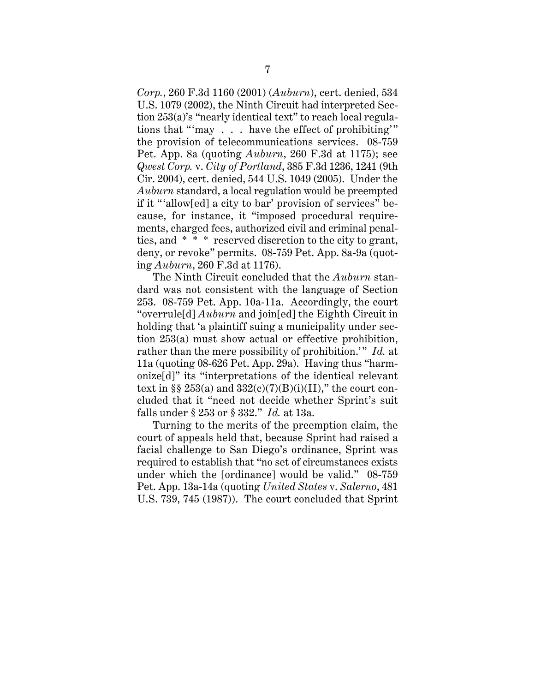*Corp.*, 260 F.3d 1160 (2001) (*Auburn*), cert. denied, 534 U.S. 1079 (2002), the Ninth Circuit had interpreted Section 253(a)'s "nearly identical text" to reach local regulations that "'may . . . have the effect of prohibiting'" the provision of telecommunications services. 08-759 Pet. App. 8a (quoting *Auburn*, 260 F.3d at 1175); see *Qwest Corp.* v. *City of Portland*, 385 F.3d 1236, 1241 (9th Cir. 2004), cert. denied, 544 U.S. 1049 (2005). Under the *Auburn* standard, a local regulation would be preempted if it "'allow[ed] a city to bar' provision of services" because, for instance, it "imposed procedural requirements, charged fees, authorized civil and criminal penalties, and \* \* \* reserved discretion to the city to grant, deny, or revoke" permits. 08-759 Pet. App. 8a-9a (quoting *Auburn*, 260 F.3d at 1176).

The Ninth Circuit concluded that the *Auburn* standard was not consistent with the language of Section 253. 08-759 Pet. App. 10a-11a. Accordingly, the court "overrule[d] *Auburn* and join[ed] the Eighth Circuit in holding that 'a plaintiff suing a municipality under section 253(a) must show actual or effective prohibition, rather than the mere possibility of prohibition.'" *Id.* at 11a (quoting 08-626 Pet. App. 29a). Having thus "harmonize[d]" its "interpretations of the identical relevant text in §§ 253(a) and  $332(c)(7)(B)(i)(II)$ ," the court concluded that it "need not decide whether Sprint's suit falls under § 253 or § 332." *Id.* at 13a.

Turning to the merits of the preemption claim, the court of appeals held that, because Sprint had raised a facial challenge to San Diego's ordinance, Sprint was required to establish that "no set of circumstances exists under which the [ordinance] would be valid." 08-759 Pet. App. 13a-14a (quoting *United States* v. *Salerno*, 481 U.S. 739, 745 (1987)). The court concluded that Sprint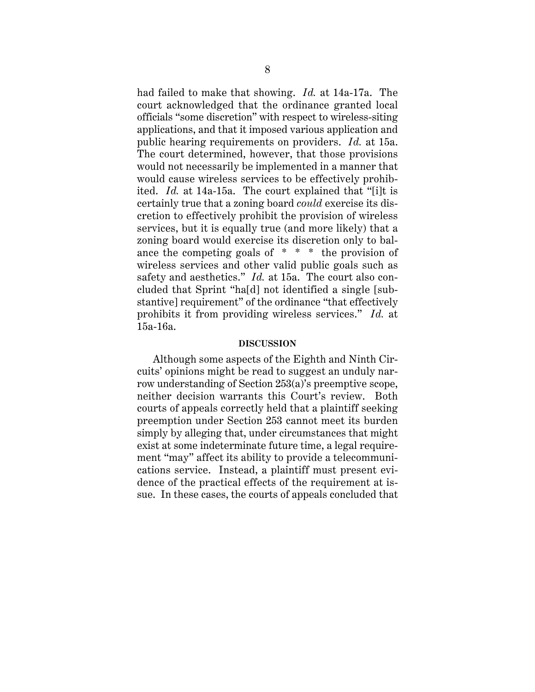had failed to make that showing. *Id.* at 14a-17a. The court acknowledged that the ordinance granted local officials "some discretion" with respect to wireless-siting applications, and that it imposed various application and public hearing requirements on providers. *Id.* at 15a. The court determined, however, that those provisions would not necessarily be implemented in a manner that would cause wireless services to be effectively prohibited. *Id.* at 14a-15a. The court explained that "[i]t is certainly true that a zoning board *could* exercise its discretion to effectively prohibit the provision of wireless services, but it is equally true (and more likely) that a zoning board would exercise its discretion only to balance the competing goals of \* \* \* the provision of wireless services and other valid public goals such as safety and aesthetics." *Id.* at 15a. The court also concluded that Sprint "ha[d] not identified a single [substantive] requirement" of the ordinance "that effectively prohibits it from providing wireless services." *Id.* at 15a-16a.

#### **DISCUSSION**

Although some aspects of the Eighth and Ninth Circuits' opinions might be read to suggest an unduly narrow understanding of Section 253(a)'s preemptive scope, neither decision warrants this Court's review. Both courts of appeals correctly held that a plaintiff seeking preemption under Section 253 cannot meet its burden simply by alleging that, under circumstances that might exist at some indeterminate future time, a legal requirement "may" affect its ability to provide a telecommunications service. Instead, a plaintiff must present evidence of the practical effects of the requirement at issue. In these cases, the courts of appeals concluded that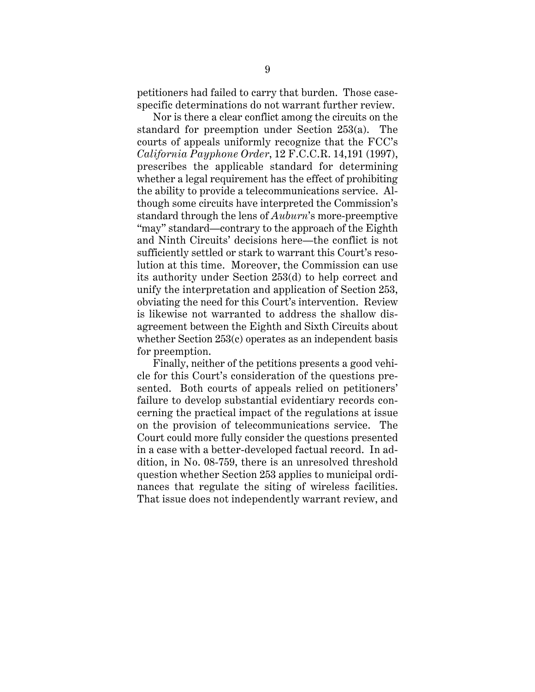petitioners had failed to carry that burden. Those casespecific determinations do not warrant further review.

Nor is there a clear conflict among the circuits on the standard for preemption under Section 253(a). The courts of appeals uniformly recognize that the FCC's *California Payphone Order*, 12 F.C.C.R. 14,191 (1997), prescribes the applicable standard for determining whether a legal requirement has the effect of prohibiting the ability to provide a telecommunications service. Although some circuits have interpreted the Commission's standard through the lens of *Auburn*'s more-preemptive "may" standard—contrary to the approach of the Eighth and Ninth Circuits' decisions here—the conflict is not sufficiently settled or stark to warrant this Court's resolution at this time. Moreover, the Commission can use its authority under Section 253(d) to help correct and unify the interpretation and application of Section 253, obviating the need for this Court's intervention. Review is likewise not warranted to address the shallow disagreement between the Eighth and Sixth Circuits about whether Section 253(c) operates as an independent basis for preemption.

Finally, neither of the petitions presents a good vehicle for this Court's consideration of the questions presented. Both courts of appeals relied on petitioners' failure to develop substantial evidentiary records concerning the practical impact of the regulations at issue on the provision of telecommunications service. The Court could more fully consider the questions presented in a case with a better-developed factual record. In addition, in No. 08-759, there is an unresolved threshold question whether Section 253 applies to municipal ordinances that regulate the siting of wireless facilities. That issue does not independently warrant review, and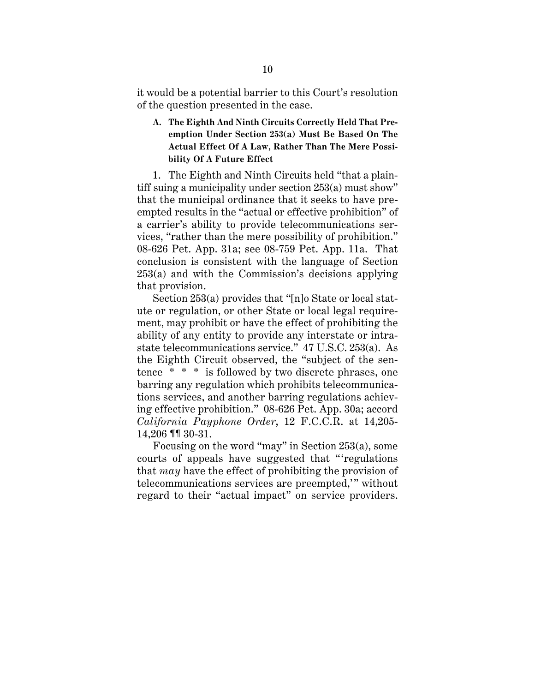it would be a potential barrier to this Court's resolution of the question presented in the case.

**A. The Eighth And Ninth Circuits Correctly Held That Preemption Under Section 253(a) Must Be Based On The Actual Effect Of A Law, Rather Than The Mere Possibility Of A Future Effect**

1. The Eighth and Ninth Circuits held "that a plaintiff suing a municipality under section 253(a) must show" that the municipal ordinance that it seeks to have preempted results in the "actual or effective prohibition" of a carrier's ability to provide telecommunications services, "rather than the mere possibility of prohibition." 08-626 Pet. App. 31a; see 08-759 Pet. App. 11a. That conclusion is consistent with the language of Section 253(a) and with the Commission's decisions applying that provision.

Section 253(a) provides that "[n]o State or local statute or regulation, or other State or local legal requirement, may prohibit or have the effect of prohibiting the ability of any entity to provide any interstate or intrastate telecommunications service." 47 U.S.C. 253(a). As the Eighth Circuit observed, the "subject of the sentence \* \* \* is followed by two discrete phrases, one barring any regulation which prohibits telecommunications services, and another barring regulations achieving effective prohibition." 08-626 Pet. App. 30a; accord *California Payphone Order*, 12 F.C.C.R. at 14,205- 14,206 ¶¶ 30-31.

Focusing on the word "may" in Section 253(a), some courts of appeals have suggested that "'regulations that *may* have the effect of prohibiting the provision of telecommunications services are preempted,'" without regard to their "actual impact" on service providers.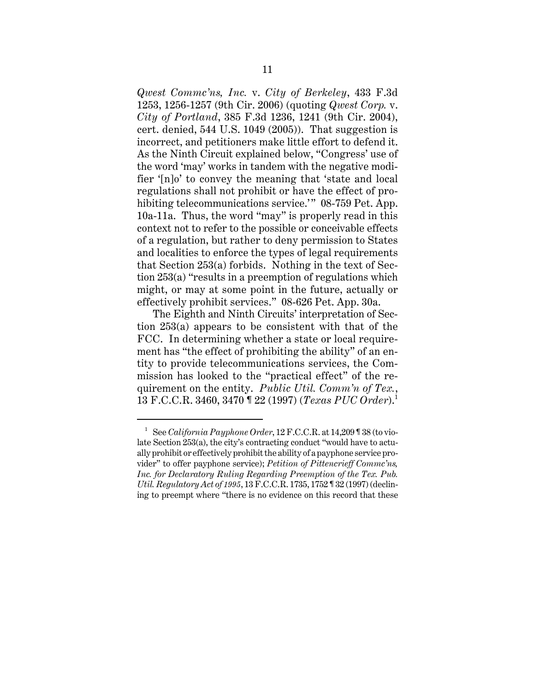*Qwest Commc'ns, Inc.* v. *City of Berkeley*, 433 F.3d 1253, 1256-1257 (9th Cir. 2006) (quoting *Qwest Corp.* v. *City of Portland*, 385 F.3d 1236, 1241 (9th Cir. 2004), cert. denied, 544 U.S. 1049 (2005)). That suggestion is incorrect, and petitioners make little effort to defend it. As the Ninth Circuit explained below, "Congress' use of the word 'may' works in tandem with the negative modifier '[n]o' to convey the meaning that 'state and local regulations shall not prohibit or have the effect of prohibiting telecommunications service.'" 08-759 Pet. App. 10a-11a. Thus, the word "may" is properly read in this context not to refer to the possible or conceivable effects of a regulation, but rather to deny permission to States and localities to enforce the types of legal requirements that Section 253(a) forbids. Nothing in the text of Section 253(a) "results in a preemption of regulations which might, or may at some point in the future, actually or effectively prohibit services." 08-626 Pet. App. 30a.

The Eighth and Ninth Circuits' interpretation of Section 253(a) appears to be consistent with that of the FCC. In determining whether a state or local requirement has "the effect of prohibiting the ability" of an entity to provide telecommunications services, the Commission has looked to the "practical effect" of the requirement on the entity. *Public Util. Comm'n of Tex.*, 13 F.C.C.R. 3460, 3470 ¶ 22 (1997) (*Texas PUC Order*).<sup>1</sup>

<sup>1</sup> See *California Payphone Order*, 12 F.C.C.R. at 14,209 ¶ 38 (to violate Section 253(a), the city's contracting conduct "would have to actually prohibit or effectively prohibit the ability of a payphone service provider" to offer payphone service); *Petition of Pittencrieff Commc'ns, Inc. for Declaratory Ruling Regarding Preemption of the Tex. Pub. Util. Regulatory Act of 1995*, 13 F.C.C.R. 1735, 1752 ¶ 32 (1997) (declining to preempt where "there is no evidence on this record that these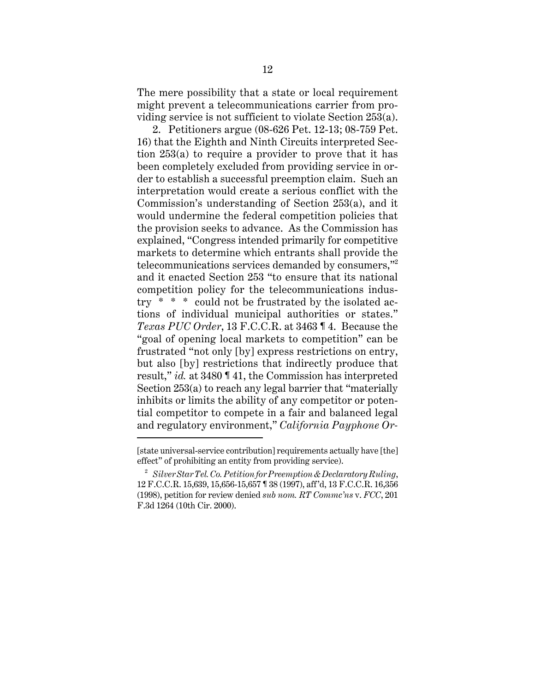The mere possibility that a state or local requirement might prevent a telecommunications carrier from providing service is not sufficient to violate Section 253(a).

2. Petitioners argue (08-626 Pet. 12-13; 08-759 Pet. 16) that the Eighth and Ninth Circuits interpreted Section 253(a) to require a provider to prove that it has been completely excluded from providing service in order to establish a successful preemption claim. Such an interpretation would create a serious conflict with the Commission's understanding of Section 253(a), and it would undermine the federal competition policies that the provision seeks to advance. As the Commission has explained, "Congress intended primarily for competitive markets to determine which entrants shall provide the telecommunications services demanded by consumers,"<sup>2</sup> and it enacted Section 253 "to ensure that its national competition policy for the telecommunications industry \* \* \* could not be frustrated by the isolated actions of individual municipal authorities or states." *Texas PUC Order*, 13 F.C.C.R. at 3463 ¶ 4. Because the "goal of opening local markets to competition" can be frustrated "not only [by] express restrictions on entry, but also [by] restrictions that indirectly produce that result," *id.* at 3480 ¶ 41, the Commission has interpreted Section 253(a) to reach any legal barrier that "materially inhibits or limits the ability of any competitor or potential competitor to compete in a fair and balanced legal and regulatory environment," *California Payphone Or-*

<sup>[</sup>state universal-service contribution] requirements actually have [the] effect" of prohibiting an entity from providing service).

<sup>2</sup> *Silver Star Tel. Co. Petition for Preemption & Declaratory Ruling*, 12 F.C.C.R. 15,639, 15,656-15,657 ¶ 38 (1997), aff'd, 13 F.C.C.R. 16,356 (1998), petition for review denied *sub nom. RT Commc'ns* v. *FCC*, 201 F.3d 1264 (10th Cir. 2000).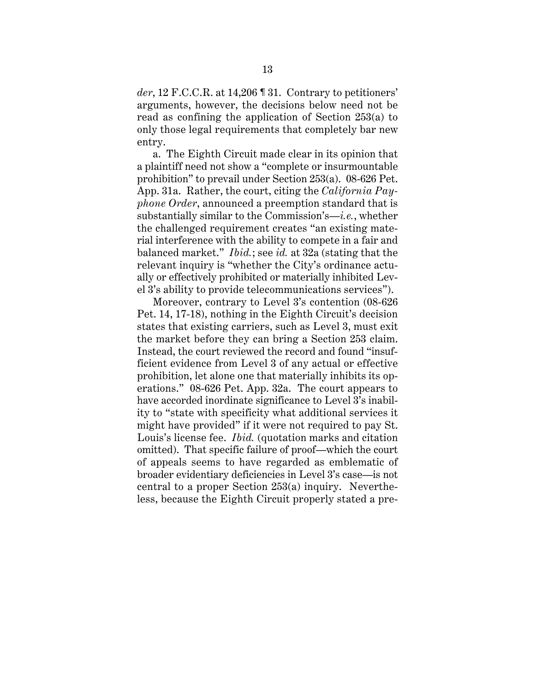*der*, 12 F.C.C.R. at 14,206 ¶ 31. Contrary to petitioners' arguments, however, the decisions below need not be read as confining the application of Section 253(a) to only those legal requirements that completely bar new entry.

a. The Eighth Circuit made clear in its opinion that a plaintiff need not show a "complete or insurmountable prohibition" to prevail under Section 253(a). 08-626 Pet. App. 31a. Rather, the court, citing the *California Payphone Order*, announced a preemption standard that is substantially similar to the Commission's—*i.e.*, whether the challenged requirement creates "an existing material interference with the ability to compete in a fair and balanced market." *Ibid.*; see *id.* at 32a (stating that the relevant inquiry is "whether the City's ordinance actually or effectively prohibited or materially inhibited Level 3's ability to provide telecommunications services").

Moreover, contrary to Level 3's contention (08-626 Pet. 14, 17-18), nothing in the Eighth Circuit's decision states that existing carriers, such as Level 3, must exit the market before they can bring a Section 253 claim. Instead, the court reviewed the record and found "insufficient evidence from Level 3 of any actual or effective prohibition, let alone one that materially inhibits its operations." 08-626 Pet. App. 32a. The court appears to have accorded inordinate significance to Level 3's inability to "state with specificity what additional services it might have provided" if it were not required to pay St. Louis's license fee. *Ibid.* (quotation marks and citation omitted). That specific failure of proof—which the court of appeals seems to have regarded as emblematic of broader evidentiary deficiencies in Level 3's case—is not central to a proper Section 253(a) inquiry. Nevertheless, because the Eighth Circuit properly stated a pre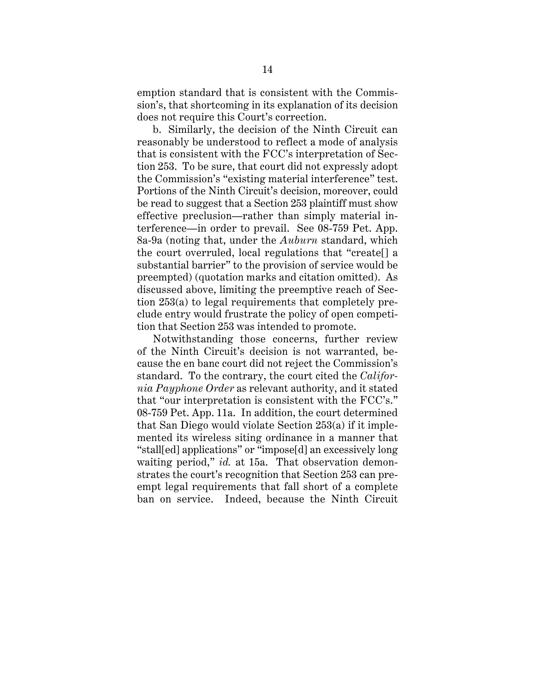emption standard that is consistent with the Commission's, that shortcoming in its explanation of its decision does not require this Court's correction.

b. Similarly, the decision of the Ninth Circuit can reasonably be understood to reflect a mode of analysis that is consistent with the FCC's interpretation of Section 253. To be sure, that court did not expressly adopt the Commission's "existing material interference" test. Portions of the Ninth Circuit's decision, moreover, could be read to suggest that a Section 253 plaintiff must show effective preclusion—rather than simply material interference—in order to prevail. See 08-759 Pet. App. 8a-9a (noting that, under the *Auburn* standard, which the court overruled, local regulations that "create[] a substantial barrier" to the provision of service would be preempted) (quotation marks and citation omitted). As discussed above, limiting the preemptive reach of Section 253(a) to legal requirements that completely preclude entry would frustrate the policy of open competition that Section 253 was intended to promote.

Notwithstanding those concerns, further review of the Ninth Circuit's decision is not warranted, because the en banc court did not reject the Commission's standard. To the contrary, the court cited the *California Payphone Order* as relevant authority, and it stated that "our interpretation is consistent with the FCC's." 08-759 Pet. App. 11a. In addition, the court determined that San Diego would violate Section 253(a) if it implemented its wireless siting ordinance in a manner that "stall[ed] applications" or "impose[d] an excessively long waiting period," *id.* at 15a. That observation demonstrates the court's recognition that Section 253 can preempt legal requirements that fall short of a complete ban on service. Indeed, because the Ninth Circuit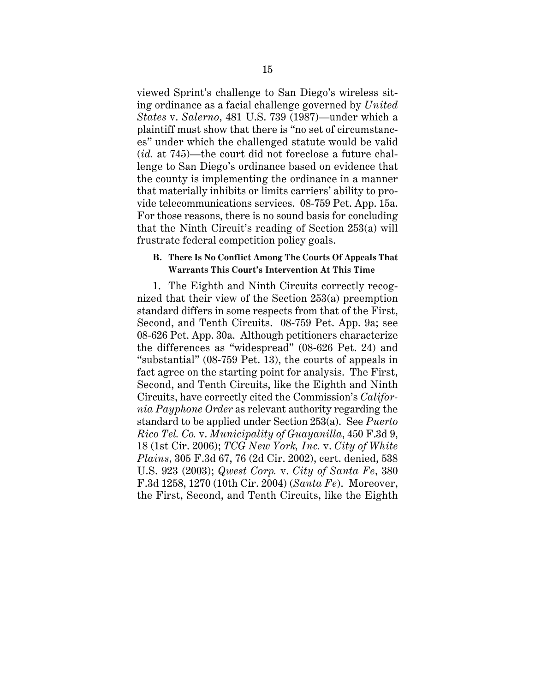viewed Sprint's challenge to San Diego's wireless siting ordinance as a facial challenge governed by *United States* v. *Salerno*, 481 U.S. 739 (1987)—under which a plaintiff must show that there is "no set of circumstances" under which the challenged statute would be valid (*id.* at 745)—the court did not foreclose a future challenge to San Diego's ordinance based on evidence that the county is implementing the ordinance in a manner that materially inhibits or limits carriers' ability to provide telecommunications services. 08-759 Pet. App. 15a. For those reasons, there is no sound basis for concluding that the Ninth Circuit's reading of Section 253(a) will frustrate federal competition policy goals.

#### **B. There Is No Conflict Among The Courts Of Appeals That Warrants This Court's Intervention At This Time**

1. The Eighth and Ninth Circuits correctly recognized that their view of the Section 253(a) preemption standard differs in some respects from that of the First, Second, and Tenth Circuits. 08-759 Pet. App. 9a; see 08-626 Pet. App. 30a. Although petitioners characterize the differences as "widespread" (08-626 Pet. 24) and "substantial" (08-759 Pet. 13), the courts of appeals in fact agree on the starting point for analysis. The First, Second, and Tenth Circuits, like the Eighth and Ninth Circuits, have correctly cited the Commission's *California Payphone Order* as relevant authority regarding the standard to be applied under Section 253(a). See *Puerto Rico Tel. Co.* v. *Municipality of Guayanilla*, 450 F.3d 9, 18 (1st Cir. 2006); *TCG New York, Inc.* v. *City of White Plains*, 305 F.3d 67, 76 (2d Cir. 2002), cert. denied, 538 U.S. 923 (2003); *Qwest Corp.* v. *City of Santa Fe*, 380 F.3d 1258, 1270 (10th Cir. 2004) (*Santa Fe*). Moreover, the First, Second, and Tenth Circuits, like the Eighth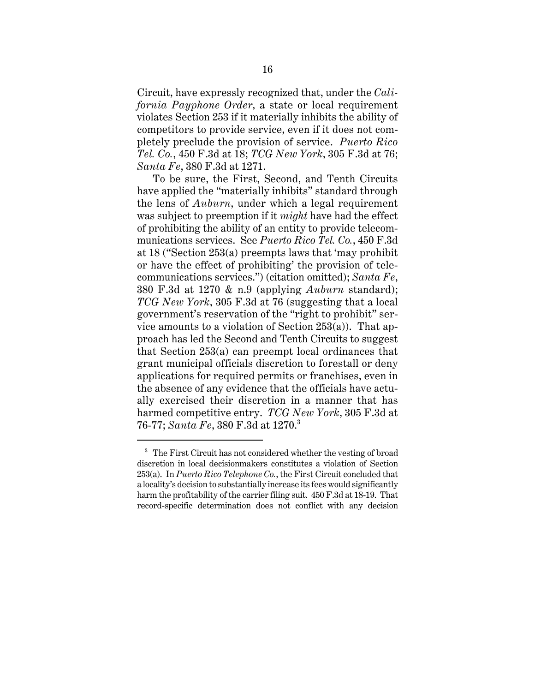Circuit, have expressly recognized that, under the *California Payphone Order*, a state or local requirement violates Section 253 if it materially inhibits the ability of competitors to provide service, even if it does not completely preclude the provision of service. *Puerto Rico Tel. Co.*, 450 F.3d at 18; *TCG New York*, 305 F.3d at 76; *Santa Fe*, 380 F.3d at 1271.

To be sure, the First, Second, and Tenth Circuits have applied the "materially inhibits" standard through the lens of *Auburn*, under which a legal requirement was subject to preemption if it *might* have had the effect of prohibiting the ability of an entity to provide telecommunications services. See *Puerto Rico Tel. Co.*, 450 F.3d at 18 ("Section 253(a) preempts laws that 'may prohibit or have the effect of prohibiting' the provision of telecommunications services.") (citation omitted); *Santa Fe*, 380 F.3d at 1270 & n.9 (applying *Auburn* standard); *TCG New York*, 305 F.3d at 76 (suggesting that a local government's reservation of the "right to prohibit" service amounts to a violation of Section 253(a)). That approach has led the Second and Tenth Circuits to suggest that Section 253(a) can preempt local ordinances that grant municipal officials discretion to forestall or deny applications for required permits or franchises, even in the absence of any evidence that the officials have actually exercised their discretion in a manner that has harmed competitive entry. *TCG New York*, 305 F.3d at 76-77; *Santa Fe*, 380 F.3d at 1270.<sup>3</sup>

<sup>&</sup>lt;sup>3</sup> The First Circuit has not considered whether the vesting of broad discretion in local decisionmakers constitutes a violation of Section 253(a). In *Puerto Rico Telephone Co.*, the First Circuit concluded that a locality's decision to substantially increase its fees would significantly harm the profitability of the carrier filing suit. 450 F.3d at 18-19. That record-specific determination does not conflict with any decision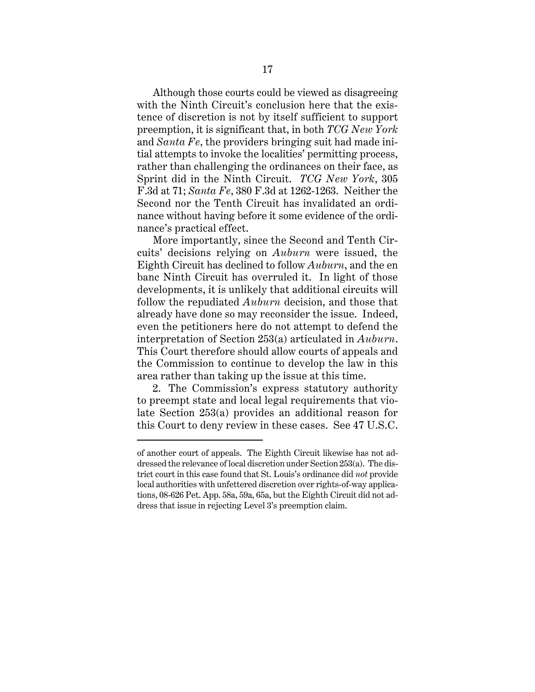Although those courts could be viewed as disagreeing with the Ninth Circuit's conclusion here that the existence of discretion is not by itself sufficient to support preemption, it is significant that, in both *TCG New York* and *Santa Fe*, the providers bringing suit had made initial attempts to invoke the localities' permitting process, rather than challenging the ordinances on their face, as Sprint did in the Ninth Circuit. *TCG New York*, 305 F.3d at 71; *Santa Fe*, 380 F.3d at 1262-1263. Neither the Second nor the Tenth Circuit has invalidated an ordinance without having before it some evidence of the ordinance's practical effect.

More importantly, since the Second and Tenth Circuits' decisions relying on *Auburn* were issued, the Eighth Circuit has declined to follow *Auburn*, and the en banc Ninth Circuit has overruled it. In light of those developments, it is unlikely that additional circuits will follow the repudiated *Auburn* decision, and those that already have done so may reconsider the issue. Indeed, even the petitioners here do not attempt to defend the interpretation of Section 253(a) articulated in *Auburn*. This Court therefore should allow courts of appeals and the Commission to continue to develop the law in this area rather than taking up the issue at this time.

2. The Commission's express statutory authority to preempt state and local legal requirements that violate Section 253(a) provides an additional reason for this Court to deny review in these cases. See 47 U.S.C.

of another court of appeals. The Eighth Circuit likewise has not addressed the relevance of local discretion under Section 253(a). The district court in this case found that St. Louis's ordinance did *not* provide local authorities with unfettered discretion over rights-of-way applications, 08-626 Pet. App. 58a, 59a, 65a, but the Eighth Circuit did not address that issue in rejecting Level 3's preemption claim.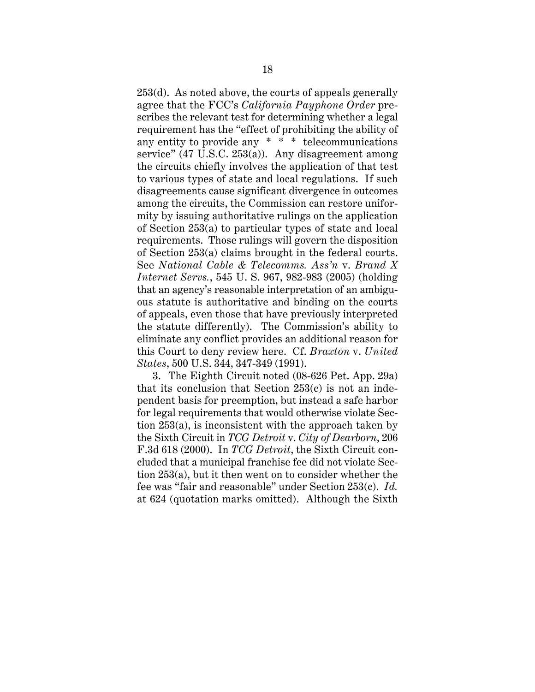253(d). As noted above, the courts of appeals generally agree that the FCC's *California Payphone Order* prescribes the relevant test for determining whether a legal requirement has the "effect of prohibiting the ability of any entity to provide any \* \* \* telecommunications service" (47 U.S.C. 253(a)). Any disagreement among the circuits chiefly involves the application of that test to various types of state and local regulations. If such disagreements cause significant divergence in outcomes among the circuits, the Commission can restore uniformity by issuing authoritative rulings on the application of Section 253(a) to particular types of state and local requirements. Those rulings will govern the disposition of Section 253(a) claims brought in the federal courts. See *National Cable & Telecomms. Ass'n* v. *Brand X Internet Servs.*, 545 U. S. 967, 982-983 (2005) (holding that an agency's reasonable interpretation of an ambiguous statute is authoritative and binding on the courts of appeals, even those that have previously interpreted the statute differently). The Commission's ability to eliminate any conflict provides an additional reason for this Court to deny review here. Cf. *Braxton* v. *United States*, 500 U.S. 344, 347-349 (1991).

3. The Eighth Circuit noted (08-626 Pet. App. 29a) that its conclusion that Section 253(c) is not an independent basis for preemption, but instead a safe harbor for legal requirements that would otherwise violate Section 253(a), is inconsistent with the approach taken by the Sixth Circuit in *TCG Detroit* v. *City of Dearborn*, 206 F.3d 618 (2000). In *TCG Detroit*, the Sixth Circuit concluded that a municipal franchise fee did not violate Section 253(a), but it then went on to consider whether the fee was "fair and reasonable" under Section 253(c). *Id.* at 624 (quotation marks omitted). Although the Sixth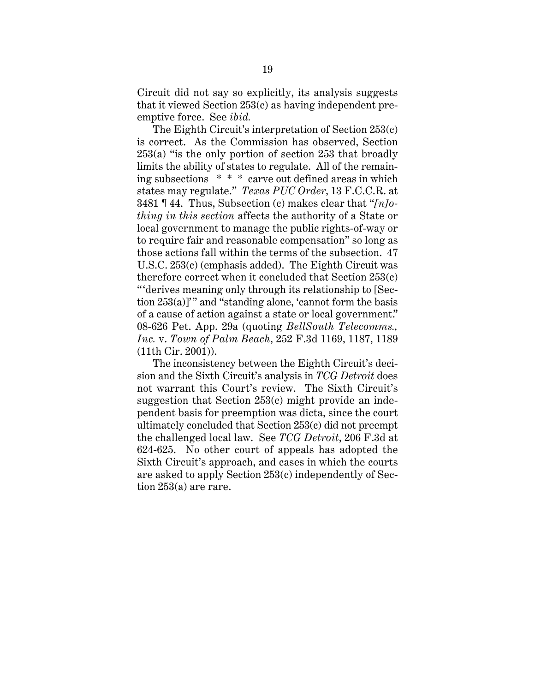Circuit did not say so explicitly, its analysis suggests that it viewed Section 253(c) as having independent preemptive force. See *ibid.*

The Eighth Circuit's interpretation of Section 253(c) is correct. As the Commission has observed, Section 253(a) "is the only portion of section 253 that broadly limits the ability of states to regulate. All of the remaining subsections \* \* \* carve out defined areas in which states may regulate." *Texas PUC Order*, 13 F.C.C.R. at 3481 ¶ 44. Thus, Subsection (c) makes clear that "*[n]othing in this section* affects the authority of a State or local government to manage the public rights-of-way or to require fair and reasonable compensation" so long as those actions fall within the terms of the subsection. 47 U.S.C. 253(c) (emphasis added). The Eighth Circuit was therefore correct when it concluded that Section 253(c) "'derives meaning only through its relationship to [Section 253(a)]'" and "standing alone, 'cannot form the basis of a cause of action against a state or local government.'" 08-626 Pet. App. 29a (quoting *BellSouth Telecomms., Inc.* v. *Town of Palm Beach*, 252 F.3d 1169, 1187, 1189 (11th Cir. 2001)).

The inconsistency between the Eighth Circuit's decision and the Sixth Circuit's analysis in *TCG Detroit* does not warrant this Court's review. The Sixth Circuit's suggestion that Section 253(c) might provide an independent basis for preemption was dicta, since the court ultimately concluded that Section 253(c) did not preempt the challenged local law. See *TCG Detroit*, 206 F.3d at 624-625. No other court of appeals has adopted the Sixth Circuit's approach, and cases in which the courts are asked to apply Section 253(c) independently of Section 253(a) are rare.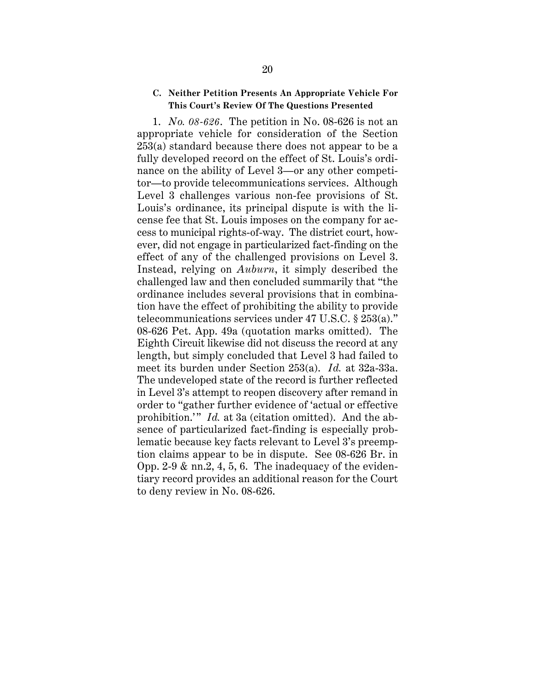#### **C. Neither Petition Presents An Appropriate Vehicle For This Court's Review Of The Questions Presented**

1. *No. 08-626*. The petition in No. 08-626 is not an appropriate vehicle for consideration of the Section 253(a) standard because there does not appear to be a fully developed record on the effect of St. Louis's ordinance on the ability of Level 3—or any other competitor—to provide telecommunications services. Although Level 3 challenges various non-fee provisions of St. Louis's ordinance, its principal dispute is with the license fee that St. Louis imposes on the company for access to municipal rights-of-way. The district court, however, did not engage in particularized fact-finding on the effect of any of the challenged provisions on Level 3. Instead, relying on *Auburn*, it simply described the challenged law and then concluded summarily that "the ordinance includes several provisions that in combination have the effect of prohibiting the ability to provide telecommunications services under 47 U.S.C. § 253(a)." 08-626 Pet. App. 49a (quotation marks omitted). The Eighth Circuit likewise did not discuss the record at any length, but simply concluded that Level 3 had failed to meet its burden under Section 253(a). *Id.* at 32a-33a. The undeveloped state of the record is further reflected in Level 3's attempt to reopen discovery after remand in order to "gather further evidence of 'actual or effective prohibition.'" *Id.* at 3a (citation omitted). And the absence of particularized fact-finding is especially problematic because key facts relevant to Level 3's preemption claims appear to be in dispute. See 08-626 Br. in Opp. 2-9  $\&$  nn.2, 4, 5, 6. The inadequacy of the evidentiary record provides an additional reason for the Court to deny review in No. 08-626.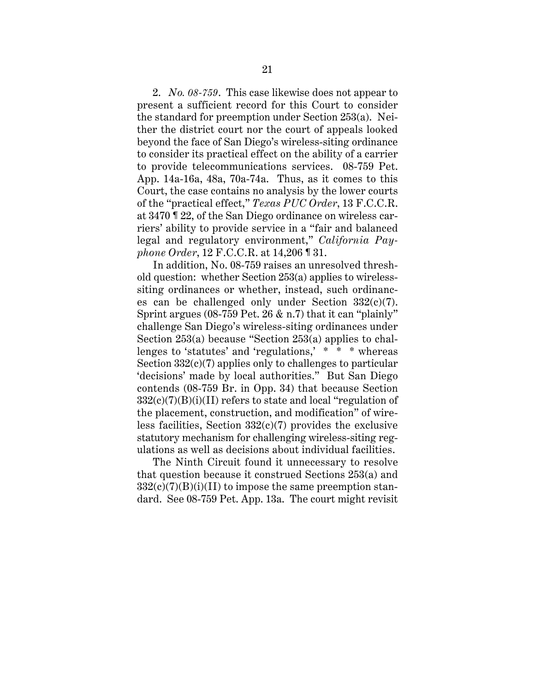2. *No. 08-759*. This case likewise does not appear to present a sufficient record for this Court to consider the standard for preemption under Section 253(a). Neither the district court nor the court of appeals looked beyond the face of San Diego's wireless-siting ordinance to consider its practical effect on the ability of a carrier to provide telecommunications services. 08-759 Pet. App. 14a-16a, 48a, 70a-74a. Thus, as it comes to this Court, the case contains no analysis by the lower courts of the "practical effect," *Texas PUC Order*, 13 F.C.C.R. at 3470 ¶ 22, of the San Diego ordinance on wireless carriers' ability to provide service in a "fair and balanced legal and regulatory environment," *California Payphone Order*, 12 F.C.C.R. at 14,206 ¶ 31.

In addition, No. 08-759 raises an unresolved threshold question: whether Section 253(a) applies to wirelesssiting ordinances or whether, instead, such ordinances can be challenged only under Section  $332(c)(7)$ . Sprint argues (08-759 Pet. 26 & n.7) that it can "plainly" challenge San Diego's wireless-siting ordinances under Section 253(a) because "Section 253(a) applies to challenges to 'statutes' and 'regulations,' \* \* \* whereas Section  $332(c)(7)$  applies only to challenges to particular 'decisions' made by local authorities." But San Diego contends (08-759 Br. in Opp. 34) that because Section  $332(c)(7)(B)(i)(II)$  refers to state and local "regulation of the placement, construction, and modification" of wireless facilities, Section  $332(c)(7)$  provides the exclusive statutory mechanism for challenging wireless-siting regulations as well as decisions about individual facilities.

The Ninth Circuit found it unnecessary to resolve that question because it construed Sections 253(a) and  $332(c)(7)(B)(i)(II)$  to impose the same preemption standard. See 08-759 Pet. App. 13a. The court might revisit